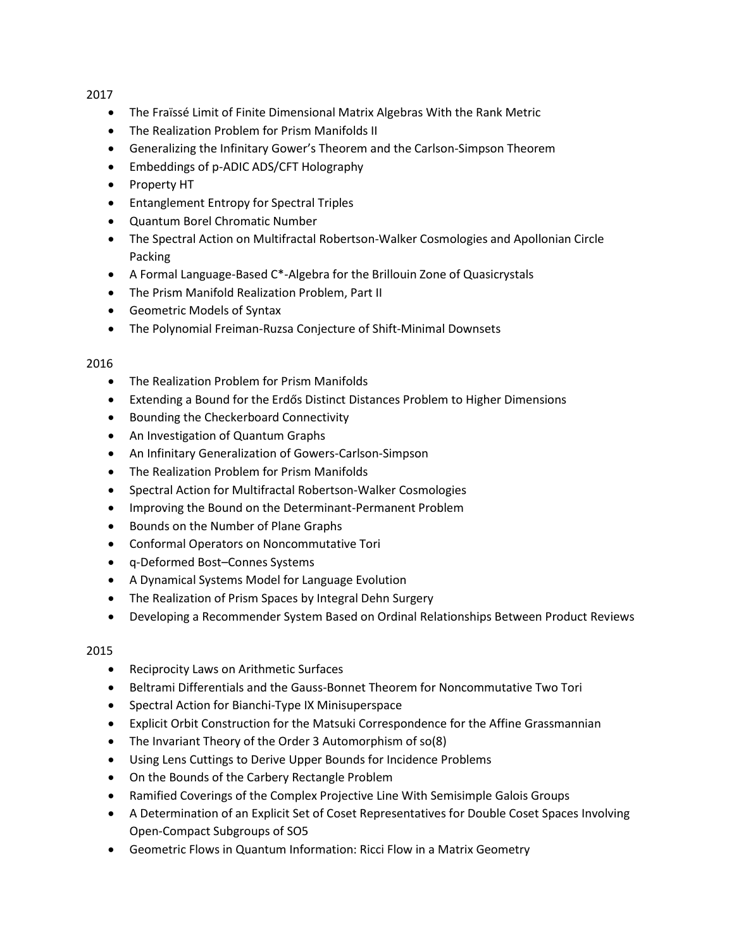2017

- The Fraïssé Limit of Finite Dimensional Matrix Algebras With the Rank Metric
- The Realization Problem for Prism Manifolds II
- Generalizing the Infinitary Gower's Theorem and the Carlson-Simpson Theorem
- Embeddings of p-ADIC ADS/CFT Holography
- Property HT
- Entanglement Entropy for Spectral Triples
- Quantum Borel Chromatic Number
- The Spectral Action on Multifractal Robertson-Walker Cosmologies and Apollonian Circle Packing
- A Formal Language-Based C\*-Algebra for the Brillouin Zone of Quasicrystals
- The Prism Manifold Realization Problem, Part II
- Geometric Models of Syntax
- The Polynomial Freiman-Ruzsa Conjecture of Shift-Minimal Downsets

## 2016

- The Realization Problem for Prism Manifolds
- Extending a Bound for the Erdős Distinct Distances Problem to Higher Dimensions
- Bounding the Checkerboard Connectivity
- An Investigation of Quantum Graphs
- An Infinitary Generalization of Gowers-Carlson-Simpson
- The Realization Problem for Prism Manifolds
- Spectral Action for Multifractal Robertson-Walker Cosmologies
- Improving the Bound on the Determinant-Permanent Problem
- Bounds on the Number of Plane Graphs
- Conformal Operators on Noncommutative Tori
- q-Deformed Bost–Connes Systems
- A Dynamical Systems Model for Language Evolution
- The Realization of Prism Spaces by Integral Dehn Surgery
- Developing a Recommender System Based on Ordinal Relationships Between Product Reviews

## 2015

- Reciprocity Laws on Arithmetic Surfaces
- Beltrami Differentials and the Gauss-Bonnet Theorem for Noncommutative Two Tori
- Spectral Action for Bianchi-Type IX Minisuperspace
- Explicit Orbit Construction for the Matsuki Correspondence for the Affine Grassmannian
- The Invariant Theory of the Order 3 Automorphism of so(8)
- Using Lens Cuttings to Derive Upper Bounds for Incidence Problems
- On the Bounds of the Carbery Rectangle Problem
- Ramified Coverings of the Complex Projective Line With Semisimple Galois Groups
- A Determination of an Explicit Set of Coset Representatives for Double Coset Spaces Involving Open-Compact Subgroups of SO5
- Geometric Flows in Quantum Information: Ricci Flow in a Matrix Geometry